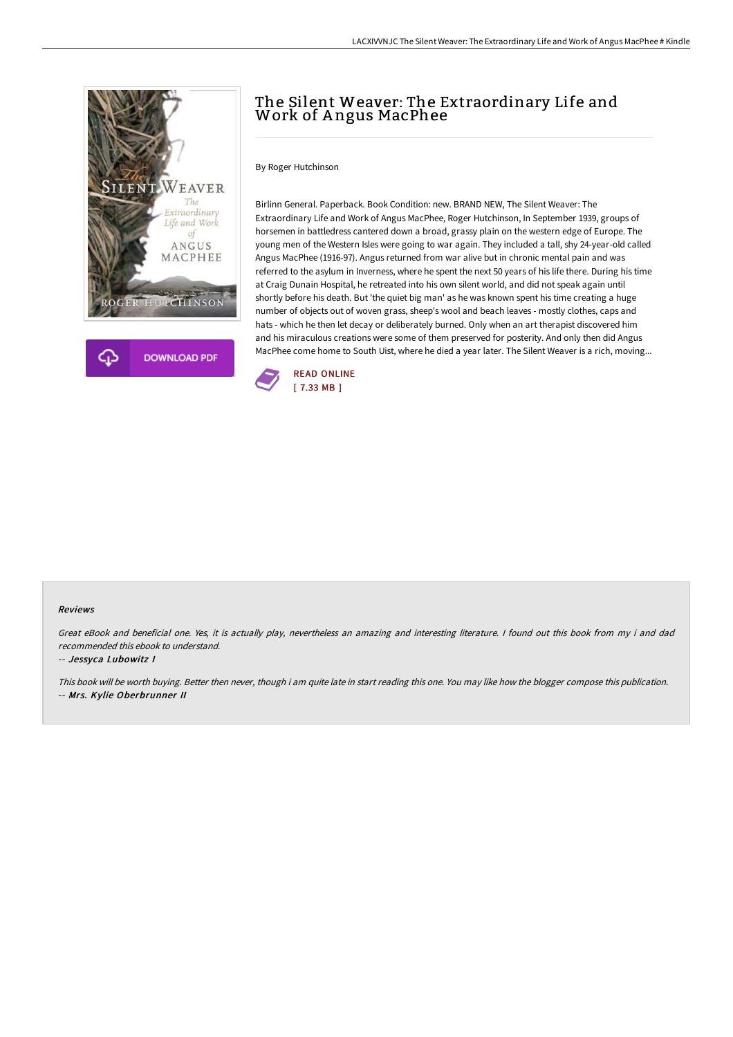

# The Silent Weaver: The Extraordinary Life and Work of A ngus MacPhee

By Roger Hutchinson

Birlinn General. Paperback. Book Condition: new. BRAND NEW, The Silent Weaver: The Extraordinary Life and Work of Angus MacPhee, Roger Hutchinson, In September 1939, groups of horsemen in battledress cantered down a broad, grassy plain on the western edge of Europe. The young men of the Western Isles were going to war again. They included a tall, shy 24-year-old called Angus MacPhee (1916-97). Angus returned from war alive but in chronic mental pain and was referred to the asylum in Inverness, where he spent the next 50 years of his life there. During his time at Craig Dunain Hospital, he retreated into his own silent world, and did not speak again until shortly before his death. But 'the quiet big man' as he was known spent his time creating a huge number of objects out of woven grass, sheep's wool and beach leaves - mostly clothes, caps and hats - which he then let decay or deliberately burned. Only when an art therapist discovered him and his miraculous creations were some of them preserved for posterity. And only then did Angus MacPhee come home to South Uist, where he died a year later. The Silent Weaver is a rich, moving...



#### Reviews

Great eBook and beneficial one. Yes, it is actually play, nevertheless an amazing and interesting literature. <sup>I</sup> found out this book from my i and dad recommended this ebook to understand.

#### -- Jessyca Lubowitz I

This book will be worth buying. Better then never, though i am quite late in start reading this one. You may like how the blogger compose this publication. -- Mrs. Kylie Oberbrunner II